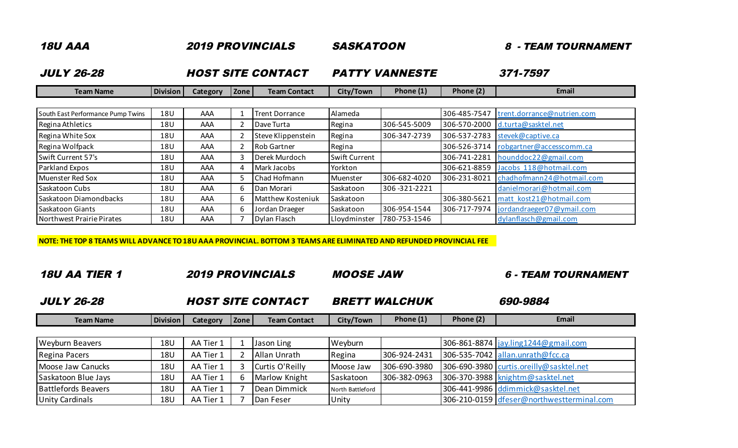| <b>18U AAA</b>                    |                 |                 | <b>2019 PROVINCIALS</b> | <b>SASKATOON</b>         |                       | - TEAM TOURNAMENT<br>8<br>371-7597 |              |                            |
|-----------------------------------|-----------------|-----------------|-------------------------|--------------------------|-----------------------|------------------------------------|--------------|----------------------------|
| <b>JULY 26-28</b>                 |                 |                 |                         | <b>HOST SITE CONTACT</b> | <b>PATTY VANNESTE</b> |                                    |              |                            |
| <b>Team Name</b>                  | <b>Division</b> | <b>Category</b> | Zone                    | <b>Team Contact</b>      | City/Town             | Phone $(1)$                        | Phone (2)    | Email                      |
|                                   |                 |                 |                         |                          |                       |                                    |              |                            |
| South East Performance Pump Twins | 18U             | AAA             |                         | Trent Dorrance           | Alameda               |                                    | 306-485-7547 | trent.dorrance@nutrien.com |
| Regina Athletics                  | 18U             | AAA             |                         | Dave Turta               | Regina                | 306-545-5009                       | 306-570-2000 | d.turta@sasktel.net        |
| Regina White Sox                  | 18U             | AAA             |                         | Steve Klippenstein       | Regina                | 306-347-2739                       | 306-537-2783 | stevek@captive.ca          |
| Regina Wolfpack                   | 18U             | AAA             |                         | Rob Gartner              | Regina                |                                    | 306-526-3714 | robgartner@accesscomm.ca   |
| Swift Current 57's                | 18U             | AAA             | 3                       | Derek Murdoch            | Swift Current         |                                    | 306-741-2281 | hounddoc22@gmail.com       |
| Parkland Expos                    | 18U             | AAA             | 4                       | Mark Jacobs              | Yorkton               |                                    | 306-621-8859 | Jacobs 118@hotmail.com     |
| Muenster Red Sox                  | 18U             | AAA             |                         | Chad Hofmann             | Muenster              | 306-682-4020                       | 306-231-8021 | chadhofmann24@hotmail.com  |
| Saskatoon Cubs                    | 18U             | AAA             | 6.                      | Dan Morari               | Saskatoon             | 306-321-2221                       |              | danielmorari@hotmail.com   |
| Saskatoon Diamondbacks            | 18U             | AAA             | 6.                      | Matthew Kosteniuk        | Saskatoon             |                                    | 306-380-5621 | matt kost21@hotmail.com    |
| Saskatoon Giants                  | 18U             | AAA             | 6.                      | Jordan Draeger           | Saskatoon             | 306-954-1544                       | 306-717-7974 | jordandraeger07@ymail.com  |
| Northwest Prairie Pirates         | 18U             | AAA             |                         | Dylan Flasch             | Lloydminster          | 780-753-1546                       |              | dylanflasch@gmail.com      |

**NOTE: THE TOP 8 TEAMS WILL ADVANCE TO 18U AAA PROVINCIAL. BOTTOM 3 TEAMS ARE ELIMINATED AND REFUNDED PROVINCIAL FEE**

18U AA TIER 1 2019 PROVINCIALS MOOSE JAW 6 - TEAM TOURNAMENT

JULY 26-28 BRETT WALCHUK 690-9884 HOST SITE CONTACT

| Team Name | <b>Division</b> | Category | √Zone | Team Contact | City/Town | Phone (1) | Phone (2) | <u>Email</u> |
|-----------|-----------------|----------|-------|--------------|-----------|-----------|-----------|--------------|
|           |                 |          |       |              |           |           |           |              |

| Weyburn Beavers        | 18U | AA Tier 1 | Jason Ling      | Weyburn          |              | 306-861-8874  jay.ling1244@gmail.com      |
|------------------------|-----|-----------|-----------------|------------------|--------------|-------------------------------------------|
| Regina Pacers          | 18U | AA Tier 1 | Allan Unrath    | Regina           | 306-924-2431 | $306 - 535 - 7042$ allan.unrath@fcc.ca    |
| Moose Jaw Canucks      | 18U | AA Tier 1 | Curtis O'Reilly | Moose Jaw        | 306-690-3980 | 306-690-3980 curtis.oreilly@sasktel.net   |
| Saskatoon Blue Jays    | 18U | AA Tier 1 | Marlow Knight   | Saskatoon        | 306-382-0963 | 306-370-3988 knightm@sasktel.net          |
| Battlefords Beavers    | 18U | AA Tier 1 | Dean Dimmick    | North Battleford |              | 306-441-9986 ddimmick@sasktel.net         |
| <b>Unity Cardinals</b> | 18U | AA Tier 1 | Dan Feser       | Unity            |              | 306-210-0159 dfeser@northwestterminal.com |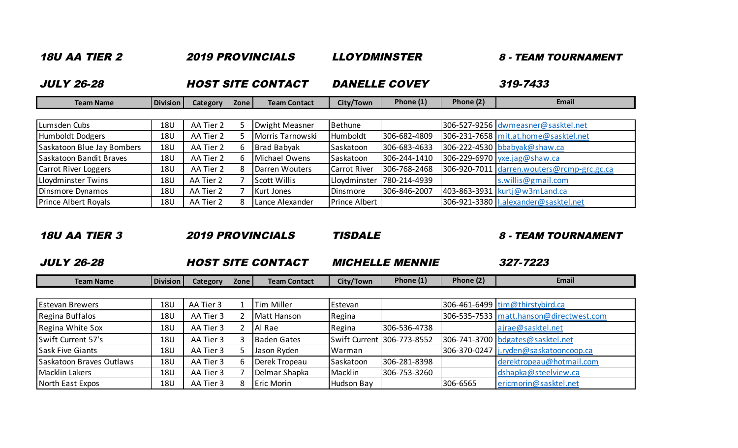| <b>18U AA TIER 2</b>        |                 | <b>2019 PROVINCIALS</b>  |      |                     | <b>LLOYDMINSTER</b>  |                      |           | <b>8 - TEAM TOURNAMENT</b>                 |  |  |
|-----------------------------|-----------------|--------------------------|------|---------------------|----------------------|----------------------|-----------|--------------------------------------------|--|--|
| <b>JULY 26-28</b>           |                 | <b>HOST SITE CONTACT</b> |      |                     |                      | <b>DANELLE COVEY</b> | 319-7433  |                                            |  |  |
| <b>Team Name</b>            | <b>Division</b> | <b>Category</b>          | Zone | <b>Team Contact</b> | City/Town            | Phone (1)            | Phone (2) | Email                                      |  |  |
|                             |                 |                          |      |                     |                      |                      |           |                                            |  |  |
| Lumsden Cubs                | <b>18U</b>      | AA Tier 2                |      | Dwight Measner      | Bethune              |                      |           | 306-527-9256 dwmeasner@sasktel.net         |  |  |
| Humboldt Dodgers            | 18U             | AA Tier 2                |      | Morris Tarnowski    | Humboldt             | 306-682-4809         |           | 306-231-7658 mit.at.home@sasktel.net       |  |  |
| Saskatoon Blue Jay Bombers  | 18U             | AA Tier 2                | b.   | <b>Brad Babyak</b>  | Saskatoon            | 306-683-4633         |           | 306-222-4530 bbabyak@shaw.ca               |  |  |
| Saskatoon Bandit Braves     | 18U             | AA Tier 2                | b.   | Michael Owens       | Saskatoon            | 306-244-1410         |           | 306-229-6970 yxe.jag@shaw.ca               |  |  |
| <b>Carrot River Loggers</b> | 18U             | AA Tier 2                |      | Darren Wouters      | <b>Carrot River</b>  | 306-768-2468         |           | 306-920-7011 darren.wouters@rcmp-grc.gc.ca |  |  |
| Lloydminster Twins          | <b>18U</b>      | AA Tier 2                |      | <b>Scott Willis</b> | Lloydminster         | 780-214-4939         |           | s.willis@gmail.com                         |  |  |
| Dinsmore Dynamos            | 18U             | AA Tier 2                |      | <b>Kurt Jones</b>   | Dinsmore             | 306-846-2007         |           | 403-863-3931   kurtj@w3mLand.ca            |  |  |
| <b>Prince Albert Royals</b> | 18U             | AA Tier 2                | 8    | Lance Alexander     | <b>Prince Albert</b> |                      |           | 306-921-3380   Lalexander@sasktel.net      |  |  |

## 18U AA TIER 3 2019 PROVINCIALS TISDALE 8 - TEAM TOURNAMENT

L

JULY 26-28 MICHELLE MENNIE 327-7223 HOST SITE CONTACT

| Team Name | Division | Category | . Zone | <b>Team Contact</b> | City/Town | Phone (1) | Phone (2. | Email |
|-----------|----------|----------|--------|---------------------|-----------|-----------|-----------|-------|
|           |          |          |        |                     |           |           |           |       |

| <b>Estevan Brewers</b>   | 18U | AA Tier 3 | Tim Miller        | Estevan    |                            |          | 306-461-6499 tim@thirstybird.ca         |
|--------------------------|-----|-----------|-------------------|------------|----------------------------|----------|-----------------------------------------|
| Regina Buffalos          | 18U | AA Tier 3 | Matt Hanson       | Regina     |                            |          | 306-535-7533 matt.hanson@directwest.com |
| Regina White Sox         | 18U | AA Tier 3 | Al Rae            | Regina     | 306-536-4738               |          | ajrae@sasktel.net                       |
| Swift Current 57's       | 18U | AA Tier 3 | Baden Gates       |            | Swift Current 306-773-8552 |          | 306-741-3700 bdgates@sasktel.net        |
| <b>Sask Five Giants</b>  | 18U | AA Tier 3 | Jason Ryden       | Warman     |                            |          | 306-370-0247   j.ryden@saskatooncoop.ca |
| Saskatoon Braves Outlaws | 18U | AA Tier 3 | Derek Tropeau     | Saskatoon  | 306-281-8398               |          | derektropeau@hotmail.com                |
| Macklin Lakers           | 18U | AA Tier 3 | Delmar Shapka     | Macklin    | 306-753-3260               |          | dshapka@steelview.ca                    |
| North East Expos         | 18U | AA Tier 3 | <b>Eric Morin</b> | Hudson Bay |                            | 306-6565 | ericmorin@sasktel.net                   |